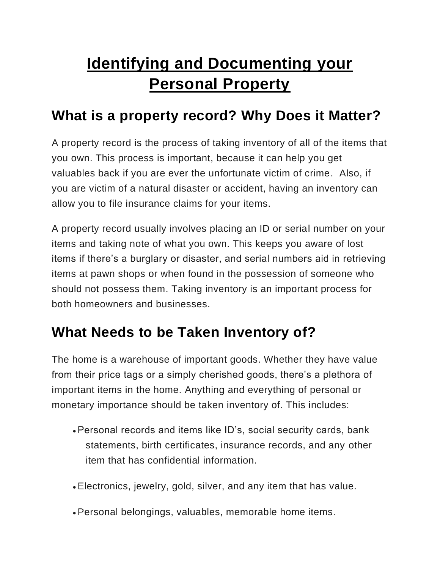# **Identifying and Documenting your Personal Property**

### **What is a property record? Why Does it Matter?**

A property record is the process of taking inventory of all of the items that you own. This process is important, because it can help you get valuables back if you are ever the unfortunate victim of crime. Also, if you are victim of a natural disaster or accident, having an inventory can allow you to file insurance claims for your items.

A property record usually involves placing an ID or serial number on your items and taking note of what you own. This keeps you aware of lost items if there's a burglary or disaster, and serial numbers aid in retrieving items at pawn shops or when found in the possession of someone who should not possess them. Taking inventory is an important process for both homeowners and businesses.

### **What Needs to be Taken Inventory of?**

The home is a warehouse of important goods. Whether they have value from their price tags or a simply cherished goods, there's a plethora of important items in the home. Anything and everything of personal or monetary importance should be taken inventory of. This includes:

- •Personal records and items like ID's, social security cards, bank statements, birth certificates, insurance records, and any other item that has confidential information.
- •Electronics, jewelry, gold, silver, and any item that has value.
- •Personal belongings, valuables, memorable home items.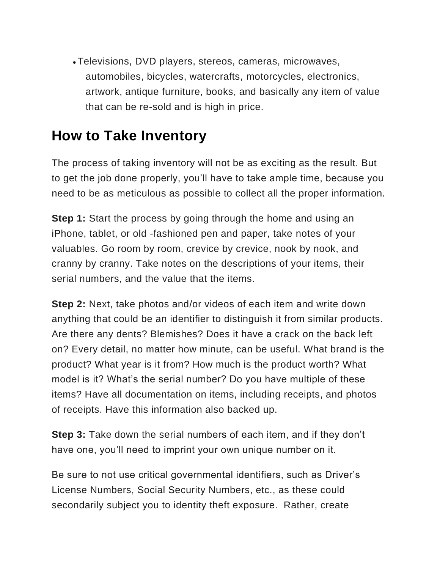• Televisions, DVD players, stereos, cameras, microwaves, automobiles, bicycles, watercrafts, motorcycles, electronics, artwork, antique furniture, books, and basically any item of value that can be re-sold and is high in price.

### **How to Take Inventory**

The process of taking inventory will not be as exciting as the result. But to get the job done properly, you'll have to take ample time, because you need to be as meticulous as possible to collect all the proper information.

**Step 1:** Start the process by going through the home and using an iPhone, tablet, or old -fashioned pen and paper, take notes of your valuables. Go room by room, crevice by crevice, nook by nook, and cranny by cranny. Take notes on the descriptions of your items, their serial numbers, and the value that the items.

**Step 2:** Next, take photos and/or videos of each item and write down anything that could be an identifier to distinguish it from similar products. Are there any dents? Blemishes? Does it have a crack on the back left on? Every detail, no matter how minute, can be useful. What brand is the product? What year is it from? How much is the product worth? What model is it? What's the serial number? Do you have multiple of these items? Have all documentation on items, including receipts, and photos of receipts. Have this information also backed up.

**Step 3:** Take down the serial numbers of each item, and if they don't have one, you'll need to imprint your own unique number on it.

Be sure to not use critical governmental identifiers, such as Driver's License Numbers, Social Security Numbers, etc., as these could secondarily subject you to identity theft exposure. Rather, create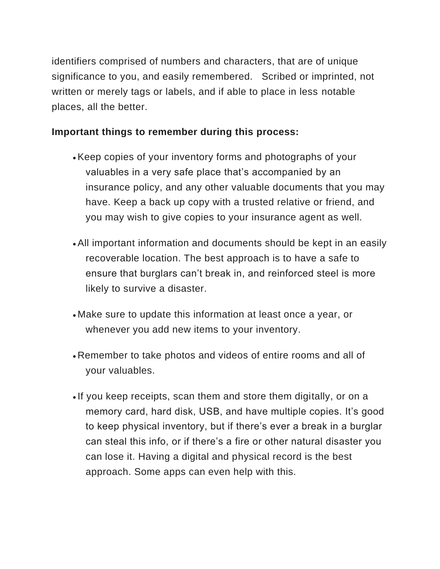identifiers comprised of numbers and characters, that are of unique significance to you, and easily remembered. Scribed or imprinted, not written or merely tags or labels, and if able to place in less notable places, all the better.

#### **Important things to remember during this process:**

- •Keep copies of your inventory forms and photographs of your valuables in a very safe place that's accompanied by an insurance policy, and any other valuable documents that you may have. Keep a back up copy with a trusted relative or friend, and you may wish to give copies to your insurance agent as well.
- •All important information and documents should be kept in an easily recoverable location. The best approach is to have a safe to ensure that burglars can't break in, and reinforced steel is more likely to survive a disaster.
- Make sure to update this information at least once a year, or whenever you add new items to your inventory.
- Remember to take photos and videos of entire rooms and all of your valuables.
- If you keep receipts, scan them and store them digitally, or on a memory card, hard disk, USB, and have multiple copies. It's good to keep physical inventory, but if there's ever a break in a burglar can steal this info, or if there's a fire or other natural disaster you can lose it. Having a digital and physical record is the best approach. Some apps can even help with this.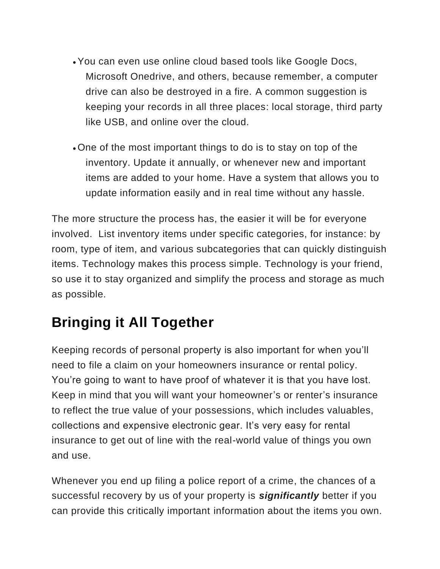- •You can even use online cloud based tools like Google Docs, Microsoft Onedrive, and others, because remember, a computer drive can also be destroyed in a fire. A common suggestion is keeping your records in all three places: local storage, third party like USB, and online over the cloud.
- One of the most important things to do is to stay on top of the inventory. Update it annually, or whenever new and important items are added to your home. Have a system that allows you to update information easily and in real time without any hassle.

The more structure the process has, the easier it will be for everyone involved. List inventory items under specific categories, for instance: by room, type of item, and various subcategories that can quickly distinguish items. Technology makes this process simple. Technology is your friend, so use it to stay organized and simplify the process and storage as much as possible.

## **Bringing it All Together**

Keeping records of personal property is also important for when you'll need to file a claim on your homeowners insurance or rental policy. You're going to want to have proof of whatever it is that you have lost. Keep in mind that you will want your homeowner's or renter's insurance to reflect the true value of your possessions, which includes valuables, collections and expensive electronic gear. It's very easy for rental insurance to get out of line with the real-world value of things you own and use.

Whenever you end up filing a police report of a crime, the chances of a successful recovery by us of your property is *significantly* better if you can provide this critically important information about the items you own.